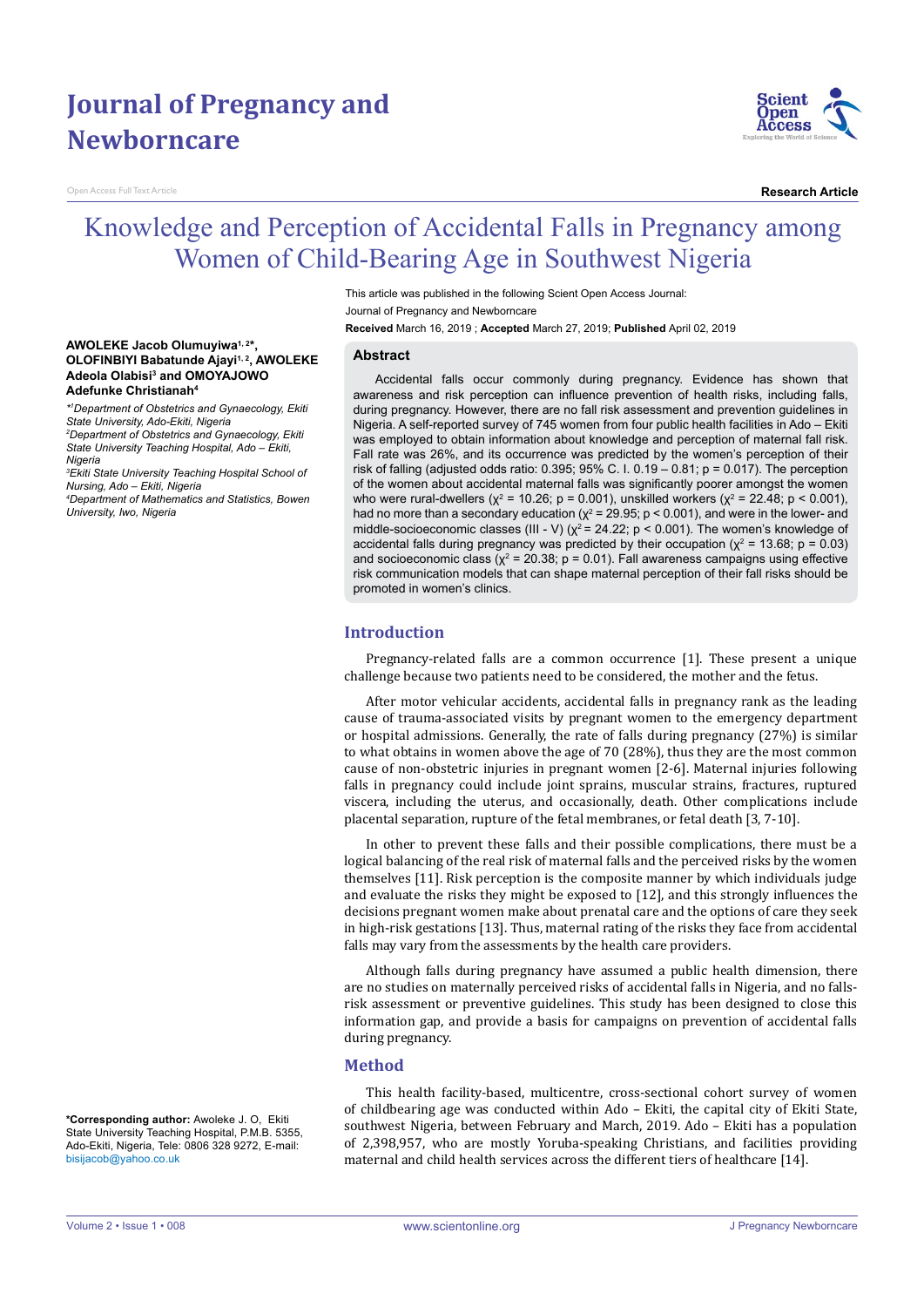# **Journal of Pregnancy and Newborncare**

Open Access Full Text Article

**AWOLEKE Jacob Olumuyiwa1, 2\*,** 

**Adefunke Christianah4**

*Nursing, Ado – Ekiti, Nigeria*

*University, Iwo, Nigeria*

*Nigeria*

*State University, Ado-Ekiti, Nigeria*

**OLOFINBIYI Babatunde Ajayi1, 2, AWOLEKE Adeola Olabisi3 and OMOYAJOWO** 

*\*1 Department of Obstetrics and Gynaecology, Ekiti* 

*2 Department of Obstetrics and Gynaecology, Ekiti State University Teaching Hospital, Ado – Ekiti,* 

*3 Ekiti State University Teaching Hospital School of* 

*4 Department of Mathematics and Statistics, Bowen* 



**Research Article**

## Knowledge and Perception of Accidental Falls in Pregnancy among Women of Child-Bearing Age in Southwest Nigeria

This article was published in the following Scient Open Access Journal: Journal of Pregnancy and Newborncare

**Received** March 16, 2019 ; **Accepted** March 27, 2019; **Published** April 02, 2019

#### **Abstract**

Accidental falls occur commonly during pregnancy. Evidence has shown that awareness and risk perception can influence prevention of health risks, including falls, during pregnancy. However, there are no fall risk assessment and prevention guidelines in Nigeria. A self-reported survey of 745 women from four public health facilities in Ado – Ekiti was employed to obtain information about knowledge and perception of maternal fall risk. Fall rate was 26%, and its occurrence was predicted by the women's perception of their risk of falling (adjusted odds ratio:  $0.395$ ;  $95\%$  C. I.  $0.19 - 0.81$ ; p = 0.017). The perception of the women about accidental maternal falls was significantly poorer amongst the women who were rural-dwellers (χ<sup>2</sup> = 10.26; p = 0.001), unskilled workers (χ<sup>2</sup> = 22.48; p < 0.001), had no more than a secondary education ( $\chi^2$  = 29.95; p < 0.001), and were in the lower- and middle-socioeconomic classes (III - V) ( $\chi^2$  = 24.22; p < 0.001). The women's knowledge of accidental falls during pregnancy was predicted by their occupation ( $\chi^2$  = 13.68; p = 0.03) and socioeconomic class ( $\chi^2$  = 20.38; p = 0.01). Fall awareness campaigns using effective risk communication models that can shape maternal perception of their fall risks should be promoted in women's clinics.

#### **Introduction**

Pregnancy-related falls are a common occurrence [1]. These present a unique challenge because two patients need to be considered, the mother and the fetus.

After motor vehicular accidents, accidental falls in pregnancy rank as the leading cause of trauma-associated visits by pregnant women to the emergency department or hospital admissions. Generally, the rate of falls during pregnancy (27%) is similar to what obtains in women above the age of 70 (28%), thus they are the most common cause of non-obstetric injuries in pregnant women [2-6]. Maternal injuries following falls in pregnancy could include joint sprains, muscular strains, fractures, ruptured viscera, including the uterus, and occasionally, death. Other complications include placental separation, rupture of the fetal membranes, or fetal death [3, 7-10].

In other to prevent these falls and their possible complications, there must be a logical balancing of the real risk of maternal falls and the perceived risks by the women themselves [11]. Risk perception is the composite manner by which individuals judge and evaluate the risks they might be exposed to [12], and this strongly influences the decisions pregnant women make about prenatal care and the options of care they seek in high-risk gestations [13]. Thus, maternal rating of the risks they face from accidental falls may vary from the assessments by the health care providers.

Although falls during pregnancy have assumed a public health dimension, there are no studies on maternally perceived risks of accidental falls in Nigeria, and no fallsrisk assessment or preventive guidelines. This study has been designed to close this information gap, and provide a basis for campaigns on prevention of accidental falls during pregnancy.

#### **Method**

This health facility-based, multicentre, cross-sectional cohort survey of women of childbearing age was conducted within Ado – Ekiti, the capital city of Ekiti State, southwest Nigeria, between February and March, 2019. Ado – Ekiti has a population of 2,398,957, who are mostly Yoruba-speaking Christians, and facilities providing maternal and child health services across the different tiers of healthcare [14].

**\*Corresponding author:** Awoleke J. O, Ekiti State University Teaching Hospital, P.M.B. 5355, Ado-Ekiti, Nigeria, Tele: 0806 328 9272, E-mail: bisijacob@yahoo.co.uk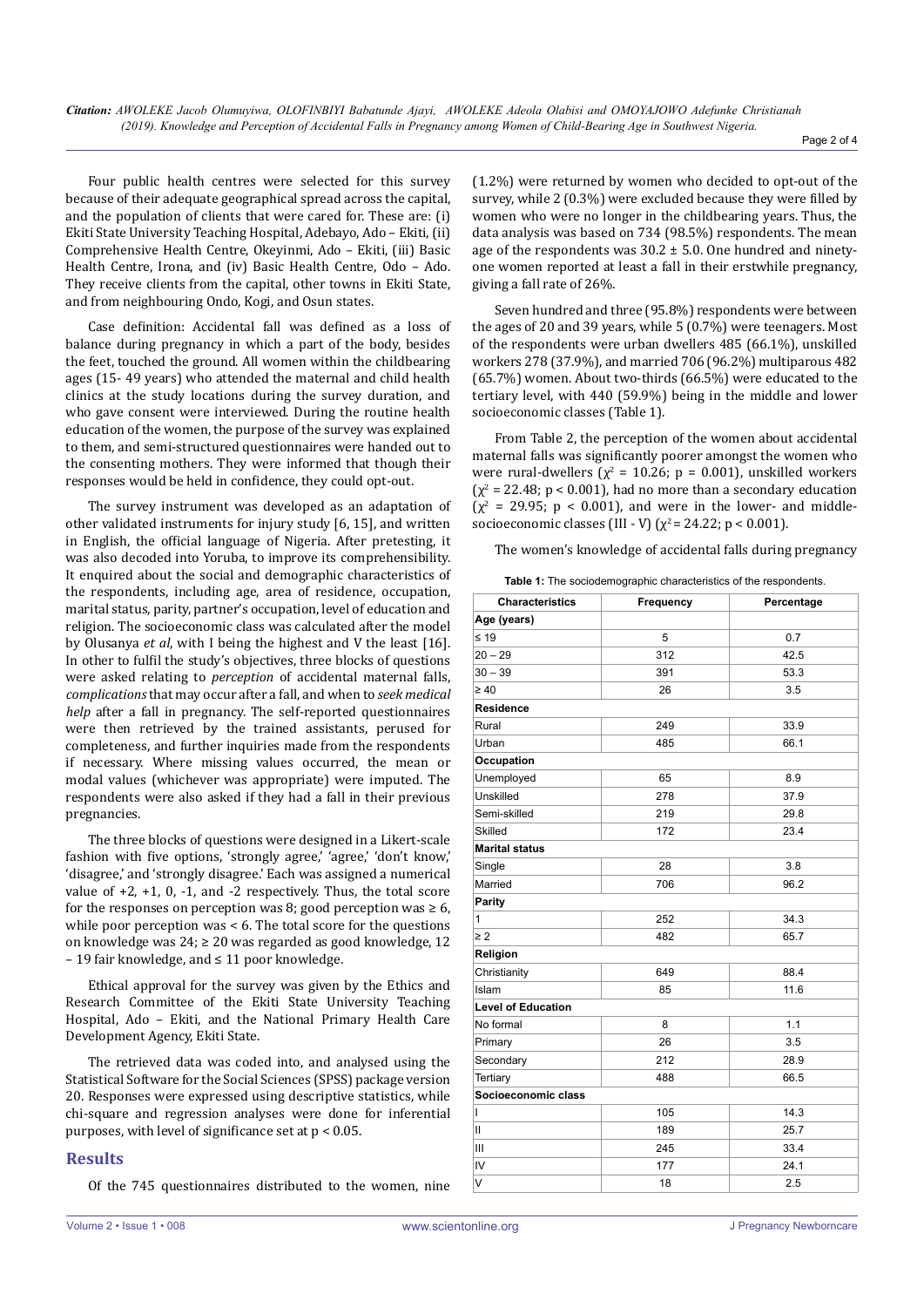Page 2 of 4

Four public health centres were selected for this survey because of their adequate geographical spread across the capital, and the population of clients that were cared for. These are: (i) Ekiti State University Teaching Hospital, Adebayo, Ado – Ekiti, (ii) Comprehensive Health Centre, Okeyinmi, Ado – Ekiti, (iii) Basic Health Centre, Irona, and (iv) Basic Health Centre, Odo – Ado. They receive clients from the capital, other towns in Ekiti State, and from neighbouring Ondo, Kogi, and Osun states.

Case definition: Accidental fall was defined as a loss of balance during pregnancy in which a part of the body, besides the feet, touched the ground. All women within the childbearing ages (15- 49 years) who attended the maternal and child health clinics at the study locations during the survey duration, and who gave consent were interviewed. During the routine health education of the women, the purpose of the survey was explained to them, and semi-structured questionnaires were handed out to the consenting mothers. They were informed that though their responses would be held in confidence, they could opt-out.

The survey instrument was developed as an adaptation of other validated instruments for injury study [6, 15], and written in English, the official language of Nigeria. After pretesting, it was also decoded into Yoruba, to improve its comprehensibility. It enquired about the social and demographic characteristics of the respondents, including age, area of residence, occupation, marital status, parity, partner's occupation, level of education and religion. The socioeconomic class was calculated after the model by Olusanya *et al*, with I being the highest and V the least [16]. In other to fulfil the study's objectives, three blocks of questions were asked relating to *perception* of accidental maternal falls, *complications* that may occur after a fall, and when to *seek medical help* after a fall in pregnancy. The self-reported questionnaires were then retrieved by the trained assistants, perused for completeness, and further inquiries made from the respondents if necessary. Where missing values occurred, the mean or modal values (whichever was appropriate) were imputed. The respondents were also asked if they had a fall in their previous pregnancies.

The three blocks of questions were designed in a Likert-scale fashion with five options, 'strongly agree,' 'agree,' 'don't know,' 'disagree,' and 'strongly disagree.' Each was assigned a numerical value of +2, +1, 0, -1, and -2 respectively. Thus, the total score for the responses on perception was 8; good perception was  $\geq 6$ , while poor perception was < 6. The total score for the questions on knowledge was 24; ≥ 20 was regarded as good knowledge, 12 – 19 fair knowledge, and ≤ 11 poor knowledge.

Ethical approval for the survey was given by the Ethics and Research Committee of the Ekiti State University Teaching Hospital, Ado – Ekiti, and the National Primary Health Care Development Agency, Ekiti State.

The retrieved data was coded into, and analysed using the Statistical Software for the Social Sciences (SPSS) package version 20. Responses were expressed using descriptive statistics, while chi-square and regression analyses were done for inferential purposes, with level of significance set at  $p < 0.05$ .

## **Results**

Of the 745 questionnaires distributed to the women, nine

(1.2%) were returned by women who decided to opt-out of the survey, while 2 (0.3%) were excluded because they were filled by women who were no longer in the childbearing years. Thus, the data analysis was based on 734 (98.5%) respondents. The mean age of the respondents was  $30.2 \pm 5.0$ . One hundred and ninetyone women reported at least a fall in their erstwhile pregnancy, giving a fall rate of 26%.

Seven hundred and three (95.8%) respondents were between the ages of 20 and 39 years, while 5 (0.7%) were teenagers. Most of the respondents were urban dwellers 485 (66.1%), unskilled workers 278 (37.9%), and married 706 (96.2%) multiparous 482 (65.7%) women. About two-thirds (66.5%) were educated to the tertiary level, with 440 (59.9%) being in the middle and lower socioeconomic classes (Table 1).

From Table 2, the perception of the women about accidental maternal falls was significantly poorer amongst the women who were rural-dwellers ( $\chi^2$  = 10.26; p = 0.001), unskilled workers  $(x^2 = 22.48; p < 0.001)$ , had no more than a secondary education  $(\chi^2 = 29.95; p < 0.001)$ , and were in the lower- and middlesocioeconomic classes (III - V) ( $\chi^2$  = 24.22; p < 0.001).

The women's knowledge of accidental falls during pregnancy

| <b>Characteristics</b>    | Frequency | Percentage |
|---------------------------|-----------|------------|
| Age (years)               |           |            |
| $\leq 19$                 | 5         | 0.7        |
| $20 - 29$                 | 312       | 42.5       |
| $30 - 39$                 | 391       | 53.3       |
| $\geq 40$                 | 26        | 3.5        |
| Residence                 |           |            |
| Rural                     | 249       | 33.9       |
| Urban                     | 485       | 66.1       |
| Occupation                |           |            |
| Unemployed                | 65        | 8.9        |
| Unskilled                 | 278       | 37.9       |
| Semi-skilled              | 219       | 29.8       |
| Skilled                   | 172       | 23.4       |
| <b>Marital status</b>     |           |            |
| Single                    | 28        | 3.8        |
| Married                   | 706       | 96.2       |
| Parity                    |           |            |
| 1                         | 252       | 34.3       |
| $\geq 2$                  | 482       | 65.7       |
| Religion                  |           |            |
| Christianity              | 649       | 88.4       |
| Islam                     | 85        | 11.6       |
| <b>Level of Education</b> |           |            |
| No formal                 | 8         | 1.1        |
| Primary                   | 26        | 3.5        |
| Secondary                 | 212       | 28.9       |
| Tertiary                  | 488       | 66.5       |
| Socioeconomic class       |           |            |
| ı                         | 105       | 14.3       |
| Ш                         | 189       | 25.7       |
| Ш                         | 245       | 33.4       |
| IV                        | 177       | 24.1       |
| V                         | 18        | 2.5        |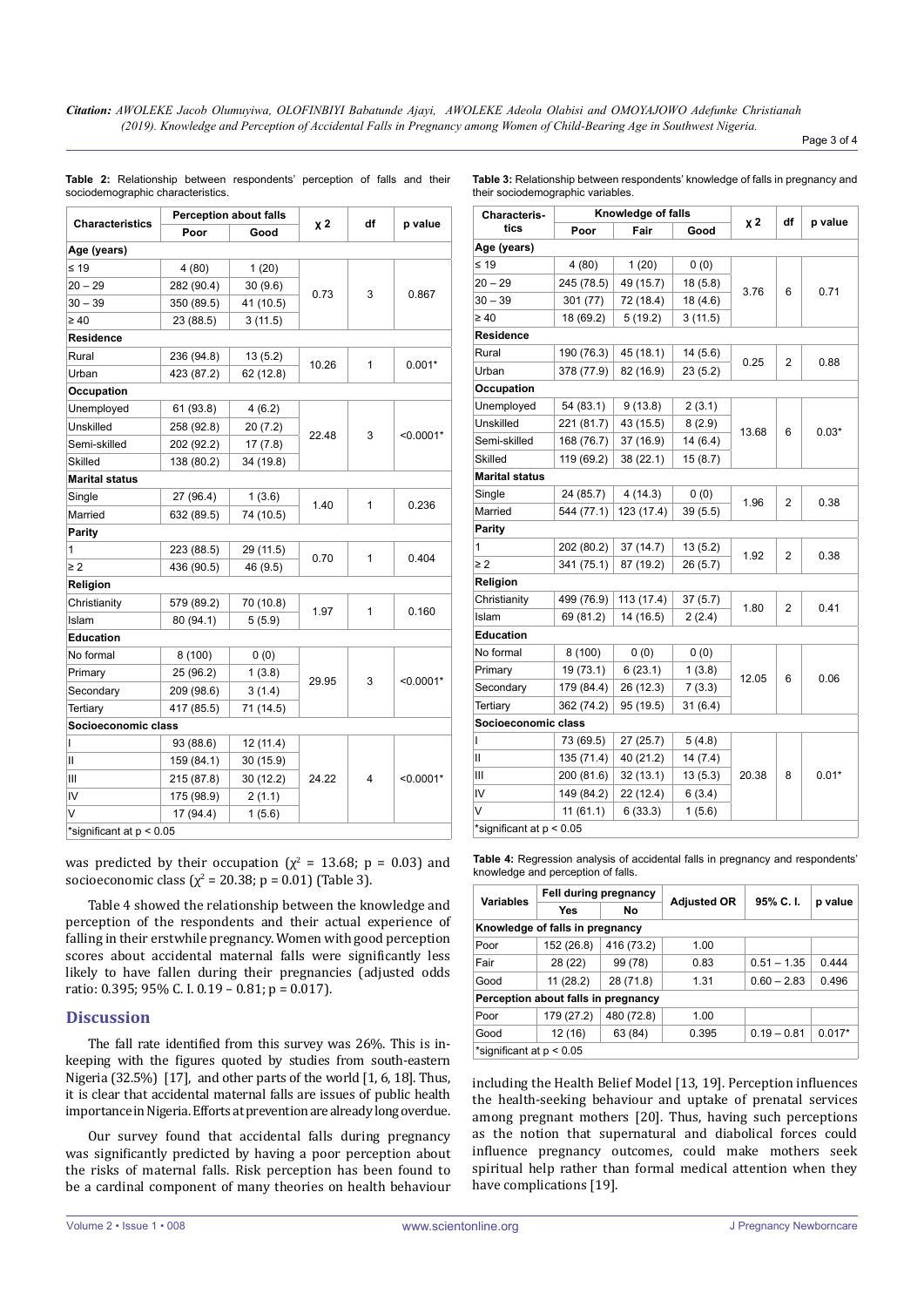*Citation: AWOLEKE Jacob Olumuyiwa, OLOFINBIYI Babatunde Ajayi, AWOLEKE Adeola Olabisi and OMOYAJOWO Adefunke Christianah (2019). Knowledge and Perception of Accidental Falls in Pregnancy among Women of Child-Bearing Age in Southwest Nigeria.*

Page 3 of 4

|                          | <b>Perception about falls</b> |           |           |              |             |  |
|--------------------------|-------------------------------|-----------|-----------|--------------|-------------|--|
| <b>Characteristics</b>   | Poor<br>Good                  |           | <b>χ2</b> | df           | p value     |  |
| Age (years)              |                               |           |           |              |             |  |
| $\leq 19$                | 4(80)                         | 1(20)     |           | 3            |             |  |
| $20 - 29$                | 282 (90.4)                    | 30(9.6)   |           |              |             |  |
| $30 - 39$                | 350 (89.5)                    | 41 (10.5) | 0.73      |              | 0.867       |  |
| $\geq 40$                | 23 (88.5)                     | 3(11.5)   |           |              |             |  |
| Residence                |                               |           |           |              |             |  |
| Rural                    | 236 (94.8)                    | 13(5.2)   |           | $\mathbf{1}$ |             |  |
| Urban                    | 423 (87.2)                    | 62 (12.8) | 10.26     |              | $0.001*$    |  |
| Occupation               |                               |           |           |              |             |  |
| Unemployed               | 61 (93.8)                     | 4 (6.2)   |           |              |             |  |
| Unskilled                | 258 (92.8)                    | 20(7.2)   |           |              |             |  |
| Semi-skilled             | 202 (92.2)                    | 17(7.8)   | 22.48     | 3            | $< 0.0001*$ |  |
| Skilled                  | 138 (80.2)                    | 34 (19.8) |           |              |             |  |
| <b>Marital status</b>    |                               |           |           |              |             |  |
| Single                   | 27 (96.4)                     | 1(3.6)    |           | $\mathbf{1}$ |             |  |
| Married                  | 632 (89.5)                    | 74 (10.5) | 1.40      |              | 0.236       |  |
| Parity                   |                               |           |           |              |             |  |
| 1                        | 223 (88.5)                    | 29 (11.5) |           |              |             |  |
| $\geq 2$                 | 436 (90.5)                    | 46 (9.5)  | 0.70      | $\mathbf{1}$ | 0.404       |  |
| Religion                 |                               |           |           |              |             |  |
| Christianity             | 579 (89.2)                    | 70 (10.8) |           |              | 0.160       |  |
| Islam                    | 80 (94.1)                     | 5(5.9)    | 1.97      | 1            |             |  |
| <b>Education</b>         |                               |           |           |              |             |  |
| No formal                | 8(100)                        | 0(0)      |           | 3            | $< 0.0001*$ |  |
| Primary                  | 25 (96.2)                     | 1(3.8)    |           |              |             |  |
| Secondary                | 209 (98.6)                    | 3(1.4)    | 29.95     |              |             |  |
| Tertiary                 | 417 (85.5)                    | 71 (14.5) |           |              |             |  |
| Socioeconomic class      |                               |           |           |              |             |  |
| L                        | 93 (88.6)                     | 12 (11.4) |           | 4            | $< 0.0001*$ |  |
| П                        | 159 (84.1)                    | 30 (15.9) |           |              |             |  |
| Ш                        | 215 (87.8)                    | 30 (12.2) | 24.22     |              |             |  |
| IV                       | 175 (98.9)                    | 2(1.1)    |           |              |             |  |
| V                        | 17 (94.4)                     | 1(5.6)    |           |              |             |  |
| *significant at p < 0.05 |                               |           |           |              |             |  |

**Table 2:** Relationship between respondents' perception of falls and their sociodemographic characteristics.

**Table 3:** Relationship between respondents' knowledge of falls in pregnancy and their sociodemographic variables.

| <b>Characteris-</b><br>tics | Knowledge of falls |            |          |       | df |         |
|-----------------------------|--------------------|------------|----------|-------|----|---------|
|                             | Poor               | Fair       | Good     | $x^2$ |    | p value |
| Age (years)                 |                    |            |          |       |    |         |
| ≤ 19                        | 4 (80)             | 1(20)      | 0(0)     | 3.76  | 6  | 0.71    |
| $20 - 29$                   | 245 (78.5)         | 49 (15.7)  | 18 (5.8) |       |    |         |
| $30 - 39$                   | 301 (77)           | 72 (18.4)  | 18 (4.6) |       |    |         |
| $\geq 40$                   | 18 (69.2)          | 5(19.2)    | 3(11.5)  |       |    |         |
| Residence                   |                    |            |          |       |    |         |
| Rural                       | 190 (76.3)         | 45 (18.1)  | 14 (5.6) |       | 2  | 0.88    |
| Urban                       | 378 (77.9)         | 82 (16.9)  | 23 (5.2) | 0.25  |    |         |
| Occupation                  |                    |            |          |       |    |         |
| Unemployed                  | 54 (83.1)          | 9(13.8)    | 2(3.1)   |       | 6  | $0.03*$ |
| Unskilled                   | 221 (81.7)         | 43 (15.5)  | 8(2.9)   |       |    |         |
| Semi-skilled                | 168 (76.7)         | 37 (16.9)  | 14(6.4)  | 13.68 |    |         |
| Skilled                     | 119 (69.2)         | 38 (22.1)  | 15(8.7)  |       |    |         |
| Marital status              |                    |            |          |       |    |         |
| Single                      | 24 (85.7)          | 4(14.3)    | 0(0)     |       |    | 0.38    |
| Married                     | 544 (77.1)         | 123 (17.4) | 39(5.5)  | 1.96  | 2  |         |
| Parity                      |                    |            |          |       |    |         |
| 1                           | 202 (80.2)         | 37 (14.7)  | 13(5.2)  |       | 2  | 0.38    |
| $\geq 2$                    | 341 (75.1)         | 87 (19.2)  | 26 (5.7) | 1.92  |    |         |
| Religion                    |                    |            |          |       |    |         |
| Christianity                | 499 (76.9)         | 113 (17.4) | 37(5.7)  | 1.80  | 2  | 0.41    |
| Islam                       | 69 (81.2)          | 14 (16.5)  | 2(2.4)   |       |    |         |
| Education                   |                    |            |          |       |    |         |
| No formal                   | 8(100)             | 0(0)       | 0(0)     |       | 6  | 0.06    |
| Primary                     | 19 (73.1)          | 6(23.1)    | 1(3.8)   | 12.05 |    |         |
| Secondary                   | 179 (84.4)         | 26 (12.3)  | 7(3.3)   |       |    |         |
| Tertiary                    | 362 (74.2)         | 95 (19.5)  | 31(6.4)  |       |    |         |
| Socioeconomic class         |                    |            |          |       |    |         |
| L                           | 73 (69.5)          | 27 (25.7)  | 5(4.8)   | 20.38 | 8  | $0.01*$ |
| Ш                           | 135 (71.4)         | 40 (21.2)  | 14(7.4)  |       |    |         |
| Ш                           | 200 (81.6)         | 32(13.1)   | 13(5.3)  |       |    |         |
| IV                          | 149 (84.2)         | 22 (12.4)  | 6(3.4)   |       |    |         |
| V                           | 11(61.1)           | 6(33.3)    | 1(5.6)   |       |    |         |
| *significant at p < 0.05    |                    |            |          |       |    |         |

was predicted by their occupation ( $\chi^2$  = 13.68; p = 0.03) and socioeconomic class ( $\chi^2$  = 20.38; p = 0.01) (Table 3).

Table 4 showed the relationship between the knowledge and perception of the respondents and their actual experience of falling in their erstwhile pregnancy. Women with good perception scores about accidental maternal falls were significantly less likely to have fallen during their pregnancies (adjusted odds ratio: 0.395; 95% C. I. 0.19 – 0.81; p = 0.017).

## **Discussion**

The fall rate identified from this survey was 26%. This is inkeeping with the figures quoted by studies from south-eastern Nigeria (32.5%) [17], and other parts of the world [1, 6, 18]. Thus, it is clear that accidental maternal falls are issues of public health importance in Nigeria. Efforts at prevention are already long overdue.

Our survey found that accidental falls during pregnancy was significantly predicted by having a poor perception about the risks of maternal falls. Risk perception has been found to be a cardinal component of many theories on health behaviour

**Fell during pregnancy** 

knowledge and perception of falls.

| <b>Variables</b>                |                                     |            |                    |               |           |  |  |
|---------------------------------|-------------------------------------|------------|--------------------|---------------|-----------|--|--|
|                                 | <b>Yes</b>                          | No         | <b>Adjusted OR</b> | 95% C.I.      | $p$ value |  |  |
| Knowledge of falls in pregnancy |                                     |            |                    |               |           |  |  |
| Poor                            | 152 (26.8)                          | 416 (73.2) | 1.00               |               |           |  |  |
| Fair                            | 28 (22)                             | 99 (78)    | 0.83               | $0.51 - 1.35$ | 0.444     |  |  |
| Good                            | 11(28.2)                            | 28 (71.8)  | 1.31               | $0.60 - 2.83$ | 0.496     |  |  |
|                                 | Perception about falls in pregnancy |            |                    |               |           |  |  |
| Poor                            | 179 (27.2)                          | 480 (72.8) | 1.00               |               |           |  |  |
| Good                            | 12(16)                              | 63 (84)    | 0.395              | $0.19 - 0.81$ | $0.017*$  |  |  |
| *significant at $p < 0.05$      |                                     |            |                    |               |           |  |  |

**Table 4:** Regression analysis of accidental falls in pregnancy and respondents'

including the Health Belief Model [13, 19]. Perception influences the health-seeking behaviour and uptake of prenatal services among pregnant mothers [20]. Thus, having such perceptions as the notion that supernatural and diabolical forces could influence pregnancy outcomes, could make mothers seek spiritual help rather than formal medical attention when they have complications [19].